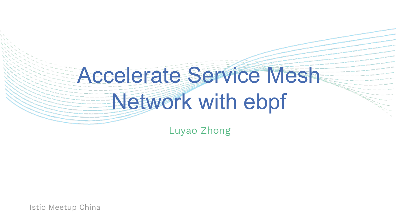## Accelerate Service Mesh Network with ebpf

Luyao Zhong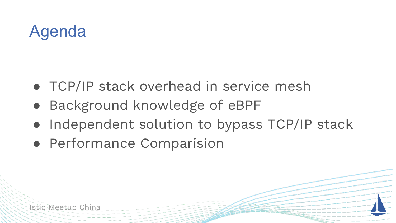## Agenda

- TCP/IP stack overhead in service mesh
- Background knowledge of eBPF
- Independent solution to bypass TCP/IP stack
- Performance Comparision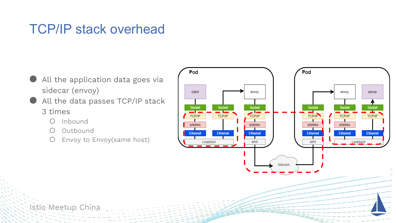#### TCP/IP stack overhead

- All the application data goes via sidecar (envoy)
- All the data passes TCP/IP stack 3 times
	- Inbound
	- Outbound
	- O Envoy to Envoy(same host)

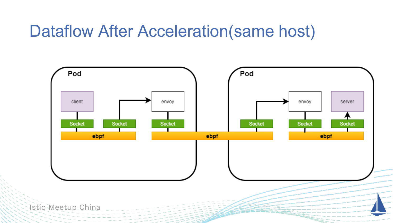#### Dataflow After Acceleration(same host)

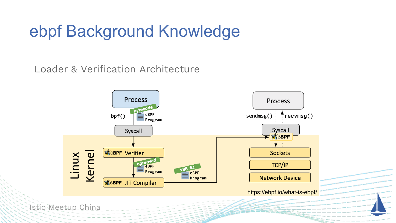### ebpf Background Knowledge

Loader & Verification Architecture

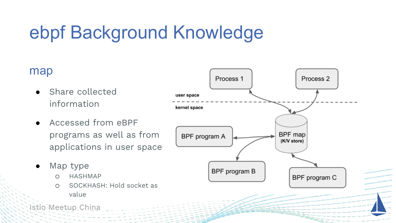## ebpf Background Knowledge

#### map

- Share collected information
- Accessed from eBPF programs as well as from applications in user space
- Map type
	- o HASHMAP
	- o SOCKHASH: Hold socket as value

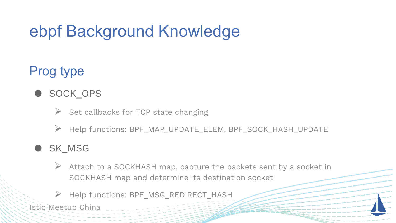## ebpf Background Knowledge

#### Prog type

- SOCK OPS
	- $\triangleright$  Set callbacks for TCP state changing
	- ➢ Help functions: BPF\_MAP\_UPDATE\_ELEM, BPF\_SOCK\_HASH\_UPDATE

#### SK\_MSG

- $\triangleright$  Attach to a SOCKHASH map, capture the packets sent by a socket in SOCKHASH map and determine its destination socket
- Help functions: BPF\_MSG\_REDIRECT\_HASH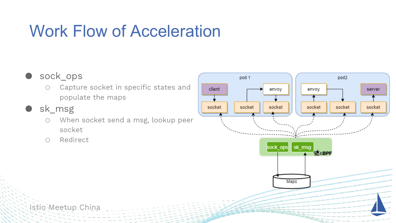## Work Flow of Acceleration

#### ● sock ops

- o Capture socket in specific states and populate the maps
- sk\_msg
	- o When socket send a msg, lookup peer socket
	- o Redirect

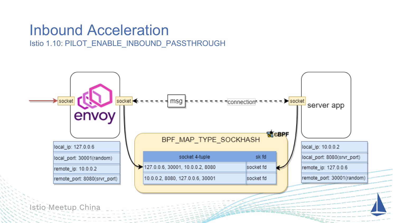#### Inbound Acceleration

Istio 1.10: PILOT\_ENABLE\_INBOUND\_PASSTHROUGH

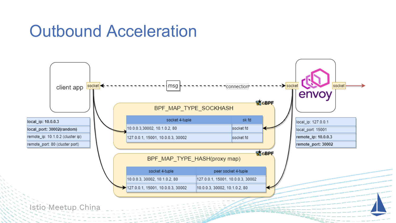#### Outbound Acceleration

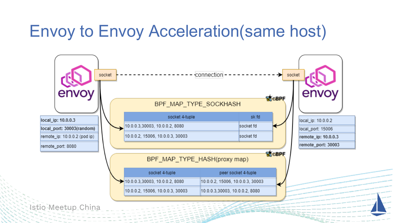#### Envoy to Envoy Acceleration(same host)

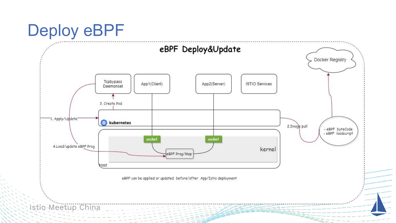#### Deploy eBPF

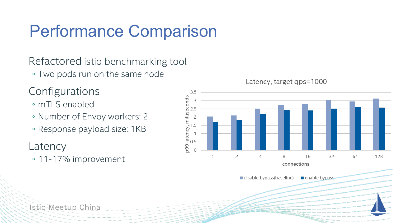## Performance Comparison

Refactored istio benchmarking tool

◦ Two pods run on the same node

#### Configurations

- mTLS enabled
- Number of Envoy workers: 2
- Response payload size: 1KB

#### Latency

◦ 11-17% improvement



enable bypass

disable bypass(baseline)

Latency, target qps=1000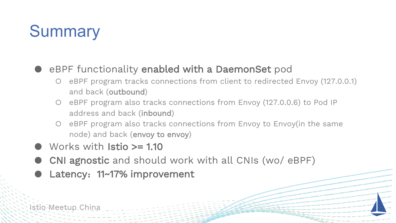## **Summary**

#### eBPF functionality enabled with a DaemonSet pod

- eBPF program tracks connections from client to redirected Envoy (127.0.0.1) and back (outbound)
- eBPF program also tracks connections from Envoy (127.0.0.6) to Pod IP address and back (inbound)
- O eBPF program also tracks connections from Envoy to Envoy(in the same node) and back (envoy to envoy)
- Works with **Istio >= 1.10**
- CNI agnostic and should work with all CNIs (wo/ eBPF)
- Latency: 11~17% improvement